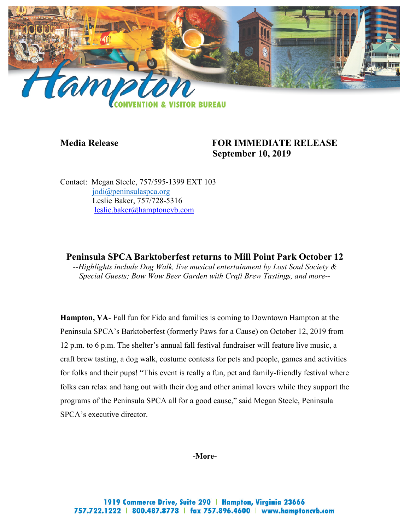

### **Media Release FOR IMMEDIATE RELEASE September 10, 2019**

Contact: Megan Steele, 757/595-1399 EXT 103 [jodi@peninsulaspca.org](mailto:jodi@peninsulaspca.org) Leslie Baker, 757/728-5316 [leslie.baker@hamptoncvb.com](mailto:leslie.baker@hamptoncvb.com)

**Peninsula SPCA Barktoberfest returns to Mill Point Park October 12** *--Highlights include Dog Walk, live musical entertainment by Lost Soul Society & Special Guests; Bow Wow Beer Garden with Craft Brew Tastings, and more--*

**Hampton, VA**- Fall fun for Fido and families is coming to Downtown Hampton at the Peninsula SPCA's Barktoberfest (formerly Paws for a Cause) on October 12, 2019 from 12 p.m. to 6 p.m. The shelter's annual fall festival fundraiser will feature live music, a craft brew tasting, a dog walk, costume contests for pets and people, games and activities for folks and their pups! "This event is really a fun, pet and family-friendly festival where folks can relax and hang out with their dog and other animal lovers while they support the programs of the Peninsula SPCA all for a good cause," said Megan Steele, Peninsula SPCA's executive director.

**-More-**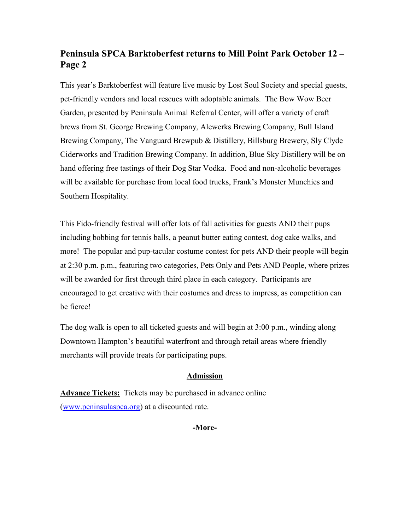# **Peninsula SPCA Barktoberfest returns to Mill Point Park October 12 – Page 2**

This year's Barktoberfest will feature live music by Lost Soul Society and special guests, pet-friendly vendors and local rescues with adoptable animals. The Bow Wow Beer Garden, presented by Peninsula Animal Referral Center, will offer a variety of craft brews from St. George Brewing Company, Alewerks Brewing Company, Bull Island Brewing Company, The Vanguard Brewpub & Distillery, Billsburg Brewery, Sly Clyde Ciderworks and Tradition Brewing Company. In addition, Blue Sky Distillery will be on hand offering free tastings of their Dog Star Vodka. Food and non-alcoholic beverages will be available for purchase from local food trucks, Frank's Monster Munchies and Southern Hospitality.

This Fido-friendly festival will offer lots of fall activities for guests AND their pups including bobbing for tennis balls, a peanut butter eating contest, dog cake walks, and more! The popular and pup-tacular costume contest for pets AND their people will begin at 2:30 p.m. p.m., featuring two categories, Pets Only and Pets AND People, where prizes will be awarded for first through third place in each category. Participants are encouraged to get creative with their costumes and dress to impress, as competition can be fierce!

The dog walk is open to all ticketed guests and will begin at 3:00 p.m., winding along Downtown Hampton's beautiful waterfront and through retail areas where friendly merchants will provide treats for participating pups.

### **Admission**

**Advance Tickets:** Tickets may be purchased in advance online [\(www.peninsulaspca.org\)](http://www.peninsulaspca.org/) at a discounted rate.

#### **-More-**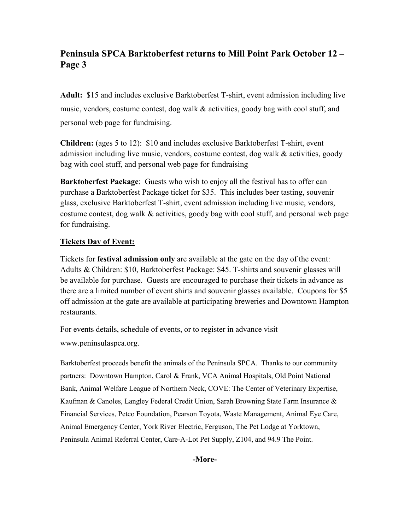# **Peninsula SPCA Barktoberfest returns to Mill Point Park October 12 – Page 3**

**Adult:** \$15 and includes exclusive Barktoberfest T-shirt, event admission including live music, vendors, costume contest, dog walk & activities, goody bag with cool stuff, and personal web page for fundraising.

**Children:** (ages 5 to 12): \$10 and includes exclusive Barktoberfest T-shirt, event admission including live music, vendors, costume contest, dog walk & activities, goody bag with cool stuff, and personal web page for fundraising

**Barktoberfest Package**: Guests who wish to enjoy all the festival has to offer can purchase a Barktoberfest Package ticket for \$35. This includes beer tasting, souvenir glass, exclusive Barktoberfest T-shirt, event admission including live music, vendors, costume contest, dog walk & activities, goody bag with cool stuff, and personal web page for fundraising.

### **Tickets Day of Event:**

Tickets for **festival admission only** are available at the gate on the day of the event: Adults & Children: \$10, Barktoberfest Package: \$45. T-shirts and souvenir glasses will be available for purchase. Guests are encouraged to purchase their tickets in advance as there are a limited number of event shirts and souvenir glasses available. Coupons for \$5 off admission at the gate are available at participating breweries and Downtown Hampton restaurants.

For events details, schedule of events, or to register in advance visit

www.peninsulaspca.org.

Barktoberfest proceeds benefit the animals of the Peninsula SPCA. Thanks to our community partners: Downtown Hampton, Carol & Frank, VCA Animal Hospitals, Old Point National Bank, Animal Welfare League of Northern Neck, COVE: The Center of Veterinary Expertise, Kaufman & Canoles, Langley Federal Credit Union, Sarah Browning State Farm Insurance & Financial Services, Petco Foundation, Pearson Toyota, Waste Management, Animal Eye Care, Animal Emergency Center, York River Electric, Ferguson, The Pet Lodge at Yorktown, Peninsula Animal Referral Center, Care-A-Lot Pet Supply, Z104, and 94.9 The Point.

### **-More-**